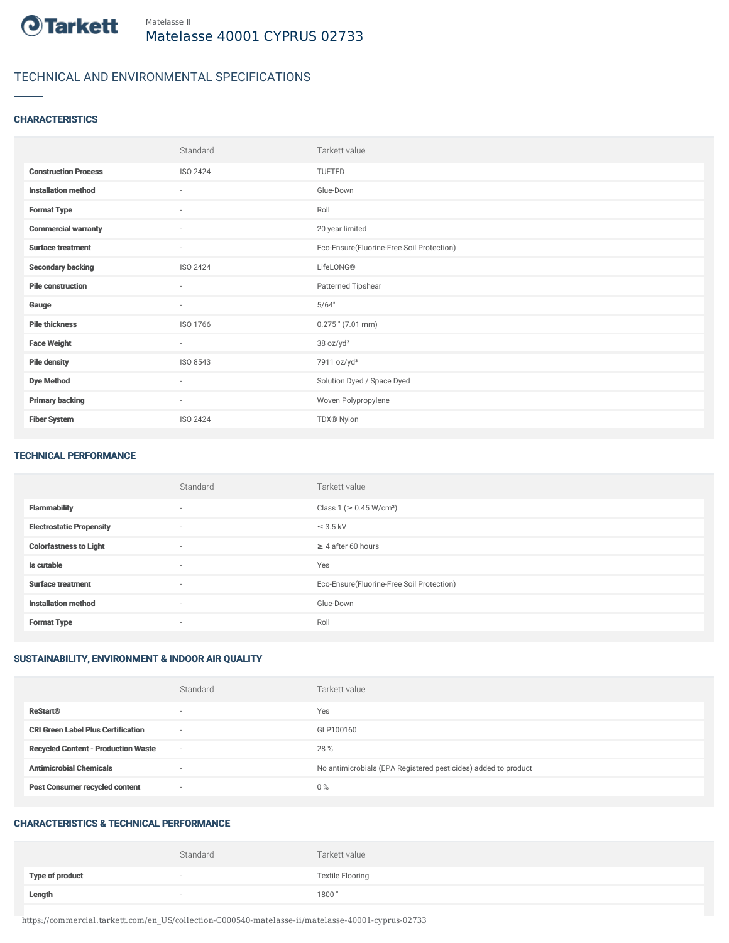

# TECHNICAL AND ENVIRONMENTAL SPECIFICATIONS

## **CHARACTERISTICS**

|                             | Standard                 | Tarkett value                             |
|-----------------------------|--------------------------|-------------------------------------------|
| <b>Construction Process</b> | <b>ISO 2424</b>          | <b>TUFTED</b>                             |
| <b>Installation method</b>  | $\sim$                   | Glue-Down                                 |
| <b>Format Type</b>          | $\sim$                   | Roll                                      |
| <b>Commercial warranty</b>  | $\sim$                   | 20 year limited                           |
| <b>Surface treatment</b>    | $\overline{\phantom{a}}$ | Eco-Ensure(Fluorine-Free Soil Protection) |
| <b>Secondary backing</b>    | ISO 2424                 | LifeLONG®                                 |
| <b>Pile construction</b>    | $\sim$                   | Patterned Tipshear                        |
| Gauge                       | $\sim$                   | 5/64"                                     |
| <b>Pile thickness</b>       | ISO 1766                 | $0.275$ " (7.01 mm)                       |
| <b>Face Weight</b>          | $\sim$                   | 38 oz/yd <sup>2</sup>                     |
| <b>Pile density</b>         | ISO 8543                 | 7911 oz/yd <sup>3</sup>                   |
| <b>Dye Method</b>           | $\sim$                   | Solution Dyed / Space Dyed                |
| <b>Primary backing</b>      | $\sim$                   | Woven Polypropylene                       |
| <b>Fiber System</b>         | <b>ISO 2424</b>          | TDX® Nylon                                |

#### TECHNICAL PERFORMANCE

|                                 | Standard                 | Tarkett value                             |
|---------------------------------|--------------------------|-------------------------------------------|
| <b>Flammability</b>             | $\overline{\phantom{a}}$ | Class 1 (≥ 0.45 W/cm <sup>2</sup> )       |
| <b>Electrostatic Propensity</b> | $\sim$                   | $\leq$ 3.5 kV                             |
| <b>Colorfastness to Light</b>   | $\sim$                   | $\geq$ 4 after 60 hours                   |
| Is cutable                      | $\sim$                   | Yes                                       |
| <b>Surface treatment</b>        | $\sim$                   | Eco-Ensure(Fluorine-Free Soil Protection) |
| <b>Installation method</b>      | $\overline{\phantom{a}}$ | Glue-Down                                 |
| <b>Format Type</b>              | $\overline{\phantom{a}}$ | Roll                                      |

## SUSTAINABILITY, ENVIRONMENT & INDOOR AIR QUALITY

|                                            | Standard                 | Tarkett value                                                  |
|--------------------------------------------|--------------------------|----------------------------------------------------------------|
| <b>ReStart®</b>                            | $\overline{\phantom{a}}$ | Yes                                                            |
| <b>CRI Green Label Plus Certification</b>  | $\sim$                   | GLP100160                                                      |
| <b>Recycled Content - Production Waste</b> | $\sim$                   | 28 %                                                           |
| <b>Antimicrobial Chemicals</b>             |                          | No antimicrobials (EPA Registered pesticides) added to product |
| <b>Post Consumer recycled content</b>      | $\sim$                   | $0\%$                                                          |

#### CHARACTERISTICS & TECHNICAL PERFORMANCE

|                        | Standard                 | Tarkett value           |
|------------------------|--------------------------|-------------------------|
| <b>Type of product</b> | $\overline{\phantom{a}}$ | <b>Textile Flooring</b> |
| Length                 |                          | 1800"                   |

https://commercial.tarkett.com/en\_US/collection-C000540-matelasse-ii/matelasse-40001-cyprus-02733